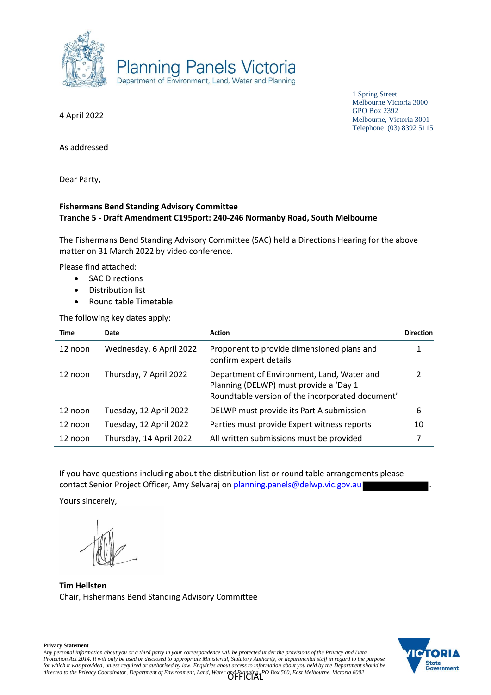

1 Spring Street Melbourne Victoria 3000 GPO Box 2392 Melbourne, Victoria 3001 Telephone (03) 8392 5115

4 April 2022

As addressed

Dear Party,

## **Fishermans Bend Standing Advisory Committee Tranche 5 - Draft Amendment C195port: 240-246 Normanby Road, South Melbourne**

The Fishermans Bend Standing Advisory Committee (SAC) held a Directions Hearing for the above matter on 31 March 2022 by video conference.

Please find attached:

- SAC Directions
- Distribution list
- Round table Timetable.

The following key dates apply:

| Time    | Date                    | <b>Action</b>                                                                                                                            | <b>Direction</b> |
|---------|-------------------------|------------------------------------------------------------------------------------------------------------------------------------------|------------------|
| 12 noon | Wednesday, 6 April 2022 | Proponent to provide dimensioned plans and<br>confirm expert details                                                                     |                  |
| 12 noon | Thursday, 7 April 2022  | Department of Environment, Land, Water and<br>Planning (DELWP) must provide a 'Day 1<br>Roundtable version of the incorporated document' |                  |
| 12 noon | Tuesday, 12 April 2022  | DELWP must provide its Part A submission                                                                                                 | 6                |
| 12 noon | Tuesday, 12 April 2022  | Parties must provide Expert witness reports                                                                                              | 10               |
| 12 noon | Thursday, 14 April 2022 | All written submissions must be provided                                                                                                 | 7                |

If you have questions including about the distribution list or round table arrangements please contact Senior Project Officer, Amy Selvaraj on planning.panels@delwp.vic.gov.au

Yours sincerely,

**Tim Hellsten** Chair, Fishermans Bend Standing Advisory Committee

**State** Government

**Privacy Statement**

*Any personal information about you or a third party in your correspondence will be protected under the provisions of the Privacy and Data Protection Act 2014. It will only be used or disclosed to appropriate Ministerial, Statutory Authority, or departmental staff in regard to the purpose for which it was provided, unless required or authorised by law. Enquiries about access to information about you held by the Department should be directed to the Privacy Coordinator, Department of Environment, Land, Water and Planning, PO Box 500, East Melbourne, Victoria 8002* OFFICIAL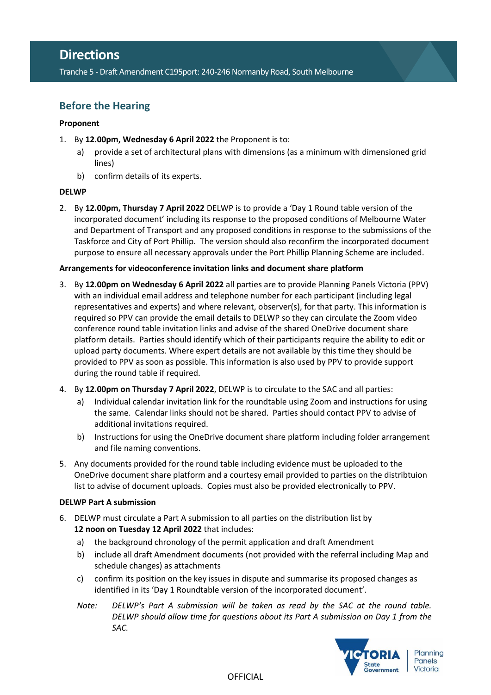## **Directions**

Tranche 5 - Draft Amendment C195port: 240-246 Normanby Road, South Melbourne

## **Before the Hearing**

## **Proponent**

- 1. By **12.00pm, Wednesday 6 April 2022** the Proponent is to:
	- a) provide a set of architectural plans with dimensions (as a minimum with dimensioned grid lines)
	- b) confirm details of its experts.

## **DELWP**

2. By **12.00pm, Thursday 7 April 2022** DELWP is to provide a 'Day 1 Round table version of the incorporated document' including its response to the proposed conditions of Melbourne Water and Department of Transport and any proposed conditions in response to the submissions of the Taskforce and City of Port Phillip. The version should also reconfirm the incorporated document purpose to ensure all necessary approvals under the Port Phillip Planning Scheme are included.

## **Arrangements for videoconference invitation links and document share platform**

- 3. By **12.00pm on Wednesday 6 April 2022** all parties are to provide Planning Panels Victoria (PPV) with an individual email address and telephone number for each participant (including legal representatives and experts) and where relevant, observer(s), for that party. This information is required so PPV can provide the email details to DELWP so they can circulate the Zoom video conference round table invitation links and advise of the shared OneDrive document share platform details. Parties should identify which of their participants require the ability to edit or upload party documents. Where expert details are not available by this time they should be provided to PPV as soon as possible. This information is also used by PPV to provide support during the round table if required.
- 4. By **12.00pm on Thursday 7 April 2022**, DELWP is to circulate to the SAC and all parties:
	- a) Individual calendar invitation link for the roundtable using Zoom and instructions for using the same. Calendar links should not be shared. Parties should contact PPV to advise of additional invitations required.
	- b) Instructions for using the OneDrive document share platform including folder arrangement and file naming conventions.
- 5. Any documents provided for the round table including evidence must be uploaded to the OneDrive document share platform and a courtesy email provided to parties on the distribtuion list to advise of document uploads. Copies must also be provided electronically to PPV.

## **DELWP Part A submission**

- 6. DELWP must circulate a Part A submission to all parties on the distribution list by **12 noon on Tuesday 12 April 2022** that includes:
	- a) the background chronology of the permit application and draft Amendment
	- b) include all draft Amendment documents (not provided with the referral including Map and schedule changes) as attachments
	- c) confirm its position on the key issues in dispute and summarise its proposed changes as identified in its 'Day 1 Roundtable version of the incorporated document'.
	- *Note: DELWP's Part A submission will be taken as read by the SAC at the round table. DELWP should allow time for questions about its Part A submission on Day 1 from the SAC.*

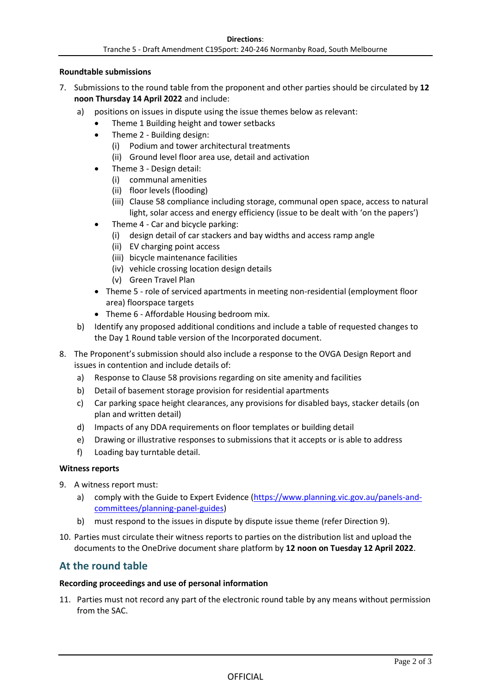## **Roundtable submissions**

- 7. Submissions to the round table from the proponent and other parties should be circulated by **12 noon Thursday 14 April 2022** and include:
	- a) positions on issues in dispute using the issue themes below as relevant:
		- Theme 1 Building height and tower setbacks
		- Theme 2 Building design:
			- (i) Podium and tower architectural treatments
			- (ii) Ground level floor area use, detail and activation
		- Theme 3 Design detail:
			- (i) communal amenities
			- (ii) floor levels (flooding)
			- (iii) Clause 58 compliance including storage, communal open space, access to natural light, solar access and energy efficiency (issue to be dealt with 'on the papers')
		- Theme 4 Car and bicycle parking:
			- (i) design detail of car stackers and bay widths and access ramp angle
			- (ii) EV charging point access
			- (iii) bicycle maintenance facilities
			- (iv) vehicle crossing location design details
			- (v) Green Travel Plan
		- Theme 5 role of serviced apartments in meeting non-residential (employment floor area) floorspace targets
		- Theme 6 Affordable Housing bedroom mix.
	- b) Identify any proposed additional conditions and include a table of requested changes to the Day 1 Round table version of the Incorporated document.
- 8. The Proponent's submission should also include a response to the OVGA Design Report and issues in contention and include details of:
	- a) Response to Clause 58 provisions regarding on site amenity and facilities
	- b) Detail of basement storage provision for residential apartments
	- c) Car parking space height clearances, any provisions for disabled bays, stacker details (on plan and written detail)
	- d) Impacts of any DDA requirements on floor templates or building detail
	- e) Drawing or illustrative responses to submissions that it accepts or is able to address
	- f) Loading bay turntable detail.

## **Witness reports**

- 9. A witness report must:
	- a) comply with the Guide to Expert Evidence [\(https://www.planning.vic.gov.au/panels-and](https://www.planning.vic.gov.au/panels-and-committees/planning-panel-guides)[committees/planning-panel-guides\)](https://www.planning.vic.gov.au/panels-and-committees/planning-panel-guides)
	- b) must respond to the issues in dispute by dispute issue theme (refer Direction 9).
- 10. Parties must circulate their witness reports to parties on the distribution list and upload the documents to the OneDrive document share platform by **12 noon on Tuesday 12 April 2022**.

## **At the round table**

## **Recording proceedings and use of personal information**

11. Parties must not record any part of the electronic round table by any means without permission from the SAC.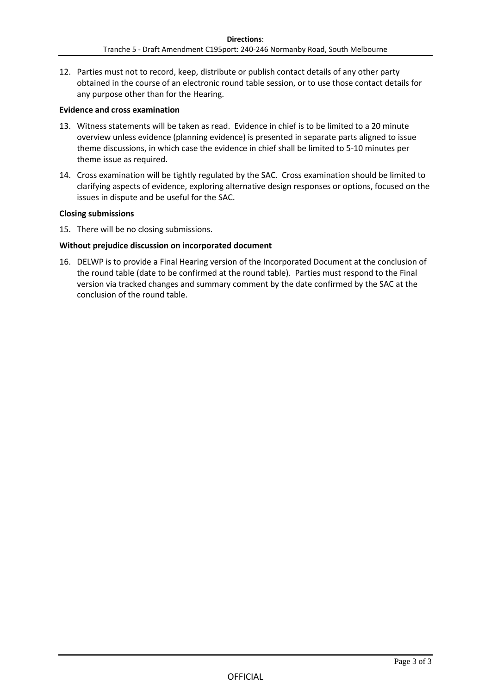12. Parties must not to record, keep, distribute or publish contact details of any other party obtained in the course of an electronic round table session, or to use those contact details for any purpose other than for the Hearing.

## **Evidence and cross examination**

- 13. Witness statements will be taken as read. Evidence in chief is to be limited to a 20 minute overview unless evidence (planning evidence) is presented in separate parts aligned to issue theme discussions, in which case the evidence in chief shall be limited to 5-10 minutes per theme issue as required.
- 14. Cross examination will be tightly regulated by the SAC. Cross examination should be limited to clarifying aspects of evidence, exploring alternative design responses or options, focused on the issues in dispute and be useful for the SAC.

## **Closing submissions**

15. There will be no closing submissions.

## **Without prejudice discussion on incorporated document**

16. DELWP is to provide a Final Hearing version of the Incorporated Document at the conclusion of the round table (date to be confirmed at the round table). Parties must respond to the Final version via tracked changes and summary comment by the date confirmed by the SAC at the conclusion of the round table.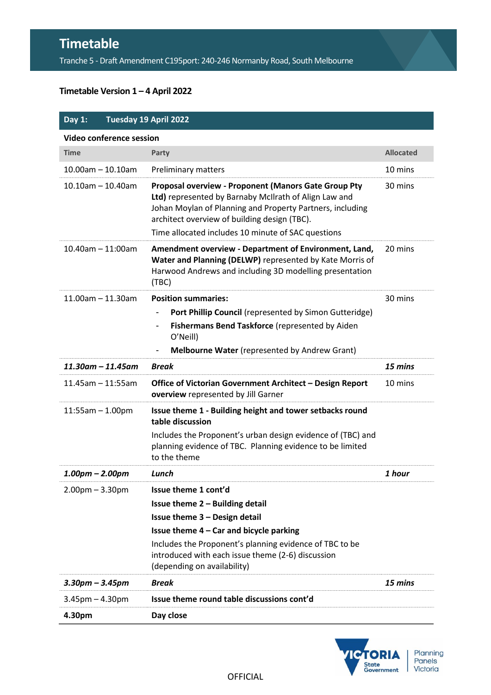# **Timetable**

Tranche 5 - Draft Amendment C195port: 240-246 Normanby Road, South Melbourne

## **Timetable Version 1 – 4 April 2022**

| Day 1:                   |                         | Tuesday 19 April 2022                                                                                                                                                                                                                                                            |                  |  |  |
|--------------------------|-------------------------|----------------------------------------------------------------------------------------------------------------------------------------------------------------------------------------------------------------------------------------------------------------------------------|------------------|--|--|
| Video conference session |                         |                                                                                                                                                                                                                                                                                  |                  |  |  |
| <b>Time</b>              |                         | Party                                                                                                                                                                                                                                                                            | <b>Allocated</b> |  |  |
| $10.00$ am $- 10.10$ am  |                         | Preliminary matters                                                                                                                                                                                                                                                              | 10 mins          |  |  |
| $10.10$ am $- 10.40$ am  |                         | Proposal overview - Proponent (Manors Gate Group Pty<br>Ltd) represented by Barnaby McIlrath of Align Law and<br>Johan Moylan of Planning and Property Partners, including<br>architect overview of building design (TBC).<br>Time allocated includes 10 minute of SAC questions | 30 mins          |  |  |
| $10.40$ am $- 11:00$ am  |                         | Amendment overview - Department of Environment, Land,<br>Water and Planning (DELWP) represented by Kate Morris of<br>Harwood Andrews and including 3D modelling presentation<br>(TBC)                                                                                            | 20 mins          |  |  |
| $11.00$ am - 11.30am     |                         | <b>Position summaries:</b>                                                                                                                                                                                                                                                       | 30 mins          |  |  |
|                          |                         | Port Phillip Council (represented by Simon Gutteridge)                                                                                                                                                                                                                           |                  |  |  |
|                          |                         | Fishermans Bend Taskforce (represented by Aiden<br>$\qquad \qquad \blacksquare$<br>O'Neill)                                                                                                                                                                                      |                  |  |  |
|                          |                         | Melbourne Water (represented by Andrew Grant)                                                                                                                                                                                                                                    |                  |  |  |
|                          | $11.30$ am – $11.45$ am | <b>Break</b>                                                                                                                                                                                                                                                                     | 15 mins          |  |  |
| $11.45$ am - 11:55am     |                         | Office of Victorian Government Architect - Design Report<br>overview represented by Jill Garner                                                                                                                                                                                  | 10 mins          |  |  |
| $11:55am - 1.00pm$       |                         | Issue theme 1 - Building height and tower setbacks round<br>table discussion                                                                                                                                                                                                     |                  |  |  |
|                          |                         | Includes the Proponent's urban design evidence of (TBC) and<br>planning evidence of TBC. Planning evidence to be limited<br>to the theme                                                                                                                                         |                  |  |  |
| $1.00pm - 2.00pm$        |                         | Lunch                                                                                                                                                                                                                                                                            | 1 hour           |  |  |
| $2.00$ pm $- 3.30$ pm    |                         | Issue theme 1 cont'd                                                                                                                                                                                                                                                             |                  |  |  |
|                          |                         | Issue theme 2 - Building detail                                                                                                                                                                                                                                                  |                  |  |  |
|                          |                         | Issue theme 3 - Design detail                                                                                                                                                                                                                                                    |                  |  |  |
|                          |                         | Issue theme 4 - Car and bicycle parking                                                                                                                                                                                                                                          |                  |  |  |
|                          |                         | Includes the Proponent's planning evidence of TBC to be<br>introduced with each issue theme (2-6) discussion<br>(depending on availability)                                                                                                                                      |                  |  |  |
| $3.30$ pm – $3.45$ pm    |                         | <b>Break</b>                                                                                                                                                                                                                                                                     | 15 mins          |  |  |
| $3.45$ pm $- 4.30$ pm    |                         | Issue theme round table discussions cont'd                                                                                                                                                                                                                                       |                  |  |  |
| 4.30pm                   |                         | Day close                                                                                                                                                                                                                                                                        |                  |  |  |